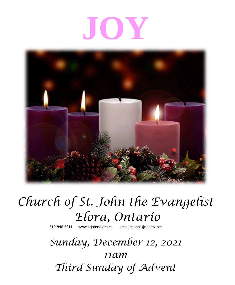# **JOY**



# *Church of St. John the Evangelist Elora, Ontario*

519-846-5911 [www.stjohnselora.ca email:stjohns@sentex.net](http://www.stjohnselora.ca%20%20%20%20%20%20email:stjohns@sentex.net)

*Sunday, December 12, 2021 11am Third Sunday of Advent*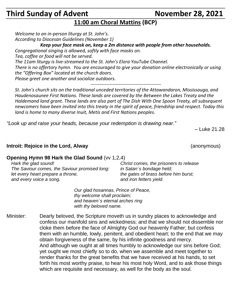# **Third Sunday of Advent November 28, 2021**

# **11:00 am Choral Mattins (BCP)**

*Welcome to an in-person liturgy at St. John's. According to Diocesan Guidelines (November 1)* 

 *Keep your face mask on, keep a 2m distance with people from other households.*

*Congregational singing is allowed, softly with face masks on.*

*Tea, coffee or food will not be served.*

*The 11am liturgy is live-streamed to the St. John's Elora YouTube Channel.*

*There is no offertory hymn. You are encouraged to give your donation online electronically or using the "Offering Box" located at the church doors.*

*Please greet one another and socialize outdoors.*

*---------------------------------------------* 

*St. John's church sits on the traditional unceded territories of the Attawandaron, Mississauga, and Haudenosaunee First Nations. These lands are covered by the Between the Lakes Treaty and the Haldemand land grant. These lands are also part of The Dish With One Spoon Treaty, all subsequent newcomers have been invited into this treaty in the spirit of peace, friendship and respect. Today this land is home to many diverse Inuit, Metis and First Nations peoples.*

*"Look up and raise your heads, because your redemption is drawing near."*

– Luke 21.28

# **Introit: Rejoice in the Lord, Alway** (anonymous)

# **Opening Hymn 98 Hark the Glad Sound** (vv 1,2,4)

*Hark the glad sound! The Saviour comes, the Saviour promised long: let every heart prepare a throne, and every voice a song.*

*Christ comes, the prisoners to release in Satan`s bondage held; the gates of brass before him burst; and iron fetters yield.*

*Our glad hosannas, Prince of Peace, thy welcome shall proclaim; and heaven`s eternal arches ring with thy beloved name.*

Minister: Dearly beloved, the Scripture moveth us in sundry places to acknowledge and confess our manifold sins and wickedness; and that we should not dissemble nor cloke them before the face of Almighty God our heavenly Father; but confess them with an humble, lowly, penitent, and obedient heart; to the end that we may obtain forgiveness of the same, by his infinite goodness and mercy. And although we ought at all times humbly to acknowledge our sins before God; yet ought we most chiefly so to do, when we assemble and meet together to render thanks for the great benefits that we have received at his hands, to set forth his most worthy praise, to hear his most holy Word, and to ask those things which are requisite and necessary, as well for the body as the soul.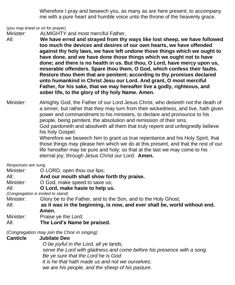Wherefore I pray and beseech you, as many as are here present, to accompany me with a pure heart and humble voice unto the throne of the heavenly grace.

*(you may kneel or sit for prayer)*

Minister: ALMIGHTY and most merciful Father,

- All: **We have erred and strayed from thy ways like lost sheep, we have followed too much the devices and desires of our own hearts, we have offended against thy holy laws, we have left undone those things which we ought to have done, and we have done those things which we ought not to have done; and there is no health in us. But thou, O Lord, have mercy upon us, miserable offenders. Spare thou them, O God, which confess their faults. Restore thou them that are penitent; according to thy promises declared unto humankind in Christ Jesu our Lord. And grant, O most merciful Father, for his sake, that we may hereafter live a godly, righteous, and sober life, to the glory of thy holy Name. Amen.**
- Minister: Almighty God, the Father of our Lord Jesus Christ, who desireth not the death of a sinner, but rather that they may turn from their wickedness, and live, hath given power and commandment to his ministers, to declare and pronounce to his people, being penitent, the absolution and remission of their sins. God pardoneth and absolveth all them that truly repent and unfeignedly believe his holy Gospel.

Wherefore we beseech him to grant us true repentance and his Holy Spirit, that those things may please him which we do at this present, and that the rest of our life hereafter may be pure and holy; so that at the last we may come to his eternal joy; through Jesus Christ our Lord. **Amen.**

| Responses are sung.                |                                                                           |  |  |  |
|------------------------------------|---------------------------------------------------------------------------|--|--|--|
| Minister:                          | O LORD, open thou our lips;                                               |  |  |  |
| All:                               | And our mouth shall show forth thy praise.                                |  |  |  |
| Minister:                          | O God, make speed to save us;                                             |  |  |  |
| All:                               | O Lord, make haste to help us.                                            |  |  |  |
| (Congregation is invited to stand) |                                                                           |  |  |  |
| Minister:                          | Glory be to the Father, and to the Son, and to the Holy Ghost;            |  |  |  |
| All:                               | as it was in the beginning, is now, and ever shall be, world without end. |  |  |  |
|                                    | Amen.                                                                     |  |  |  |
| Minister:                          | Praise ye the Lord;                                                       |  |  |  |
| All:                               | The Lord's Name be praised.                                               |  |  |  |

*(Congregation may join the Choir in singing)*

# **Canticle Jubilate Deo**

*O be joyful in the Lord, all ye lands; serve the Lord with gladness and come before his presence with a song. Be ye sure that the Lord he is God: it is he that hath made us and not we ourselves; we are his people, and the sheep of his pasture.*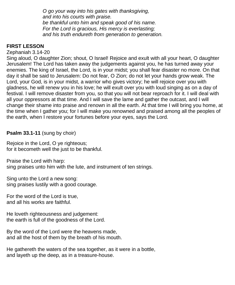*O go your way into his gates with thanksgiving, and into his courts with praise. be thankful unto him and speak good of his name. For the Lord is gracious, His mercy is everlasting; and his truth endureth from generation to generation.*

# **FIRST LESSON**

Zephaniah 3.14-20

Sing aloud, O daughter Zion; shout, O Israel! Rejoice and exult with all your heart, O daughter Jerusalem! The Lord has taken away the judgements against you, he has turned away your enemies. The king of Israel, the Lord, is in your midst; you shall fear disaster no more. On that day it shall be said to Jerusalem: Do not fear, O Zion; do not let your hands grow weak. The Lord, your God, is in your midst, a warrior who gives victory; he will rejoice over you with gladness, he will renew you in his love; he will exult over you with loud singing as on a day of festival. I will remove disaster from you, so that you will not bear reproach for it. I will deal with all your oppressors at that time. And I will save the lame and gather the outcast, and I will change their shame into praise and renown in all the earth. At that time I will bring you home, at the time when I gather you; for I will make you renowned and praised among all the peoples of the earth, when I restore your fortunes before your eyes, says the Lord.

**Psalm 33.1-11** (sung by choir)

Rejoice in the Lord, O ye righteous; for it becometh well the just to be thankful.

Praise the Lord with harp: sing praises unto him with the lute, and instrument of ten strings.

Sing unto the Lord a new song: sing praises lustily with a good courage.

For the word of the Lord is true, and all his works are faithful.

He loveth righteousness and judgement: the earth is full of the goodness of the Lord.

By the word of the Lord were the heavens made, and all the host of them by the breath of his mouth.

He gathereth the waters of the sea together, as it were in a bottle, and layeth up the deep, as in a treasure-house.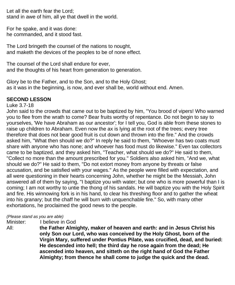Let all the earth fear the Lord; stand in awe of him, all ye that dwell in the world.

For he spake, and it was done: he commanded, and it stood fast.

The Lord bringeth the counsel of the nations to nought, and maketh the devices of the peoples to be of none effect.

The counsel of the Lord shall endure for ever, and the thoughts of his heart from generation to generation.

Glory be to the Father, and to the Son, and to the Holy Ghost; as it was in the beginning, is now, and ever shall be, world without end. Amen.

# **SECOND LESSON**

Luke 3.7-18

John said to the crowds that came out to be baptized by him, "You brood of vipers! Who warned you to flee from the wrath to come? Bear fruits worthy of repentance. Do not begin to say to yourselves, 'We have Abraham as our ancestor'; for I tell you, God is able from these stones to raise up children to Abraham. Even now the ax is lying at the root of the trees; every tree therefore that does not bear good fruit is cut down and thrown into the fire." And the crowds asked him, "What then should we do?" In reply he said to them, "Whoever has two coats must share with anyone who has none; and whoever has food must do likewise." Even tax collectors came to be baptized, and they asked him, "Teacher, what should we do?" He said to them, "Collect no more than the amount prescribed for you." Soldiers also asked him, "And we, what should we do?" He said to them, "Do not extort money from anyone by threats or false accusation, and be satisfied with your wages." As the people were filled with expectation, and all were questioning in their hearts concerning John, whether he might be the Messiah, John answered all of them by saying, "I baptize you with water; but one who is more powerful than I is coming; I am not worthy to untie the thong of his sandals. He will baptize you with the Holy Spirit and fire. His winnowing fork is in his hand, to clear his threshing floor and to gather the wheat into his granary; but the chaff he will burn with unquenchable fire." So, with many other exhortations, he proclaimed the good news to the people.

# *(Please stand as you are able)*

Minister: I believe in God

All: **the Father Almighty, maker of heaven and earth: and in Jesus Christ his only Son our Lord, who was conceived by the Holy Ghost, born of the Virgin Mary, suffered under Pontius Pilate, was crucified, dead, and buried: He descended into hell; the third day he rose again from the dead; He ascended into heaven, and sitteth on the right hand of God the Father Almighty; from thence he shall come to judge the quick and the dead.**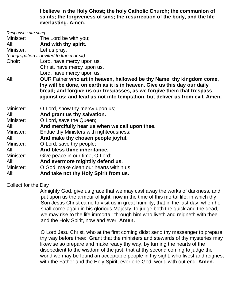**I believe in the Holy Ghost; the holy Catholic Church; the communion of saints; the forgiveness of sins; the resurrection of the body, and the life everlasting. Amen.**

| Responses are sung.<br>Minister:<br>All: | The Lord be with you;<br>And with thy spirit.                                                                                                                                                                                                                                                                |  |  |  |  |
|------------------------------------------|--------------------------------------------------------------------------------------------------------------------------------------------------------------------------------------------------------------------------------------------------------------------------------------------------------------|--|--|--|--|
| Minister.                                |                                                                                                                                                                                                                                                                                                              |  |  |  |  |
|                                          | Let us pray.<br>(congregation is invited to kneel or sit)                                                                                                                                                                                                                                                    |  |  |  |  |
| Choir:                                   | Lord, have mercy upon us.                                                                                                                                                                                                                                                                                    |  |  |  |  |
|                                          | Christ, have mercy upon us.                                                                                                                                                                                                                                                                                  |  |  |  |  |
|                                          | Lord, have mercy upon us.                                                                                                                                                                                                                                                                                    |  |  |  |  |
| All:                                     | OUR Father who art in heaven, hallowed be thy Name, thy kingdom come,<br>thy will be done, on earth as it is in heaven. Give us this day our daily<br>bread; and forgive us our trespasses, as we forgive them that trespass<br>against us; and lead us not into temptation, but deliver us from evil. Amen. |  |  |  |  |
| Minister:                                | O Lord, show thy mercy upon us;                                                                                                                                                                                                                                                                              |  |  |  |  |
| All:                                     | And grant us thy salvation.                                                                                                                                                                                                                                                                                  |  |  |  |  |
| Minister:                                | O Lord, save the Queen;                                                                                                                                                                                                                                                                                      |  |  |  |  |
| All:                                     | And mercifully hear us when we call upon thee.                                                                                                                                                                                                                                                               |  |  |  |  |
| Minister:                                | Endue thy Ministers with righteousness;                                                                                                                                                                                                                                                                      |  |  |  |  |
| All:                                     | And make thy chosen people joyful.                                                                                                                                                                                                                                                                           |  |  |  |  |
| Minister:                                | O Lord, save thy people;                                                                                                                                                                                                                                                                                     |  |  |  |  |
| All:                                     | And bless thine inheritance.                                                                                                                                                                                                                                                                                 |  |  |  |  |
| Minister:                                | Give peace in our time, O Lord;                                                                                                                                                                                                                                                                              |  |  |  |  |
| All:                                     | And evermore mightily defend us.                                                                                                                                                                                                                                                                             |  |  |  |  |
| Minister:                                | O God, make clean our hearts within us;                                                                                                                                                                                                                                                                      |  |  |  |  |
| All:                                     | And take not thy Holy Spirit from us.                                                                                                                                                                                                                                                                        |  |  |  |  |

Collect for the Day

Almighty God, give us grace that we may cast away the works of darkness, and put upon us the armour of light, now in the time of this mortal life, in which thy Son Jesus Christ came to visit us in great humility; that in the last day, when he shall come again in his glorious Majesty, to judge both the quick and the dead, we may rise to the life immortal; through him who liveth and reigneth with thee and the Holy Spirit, now and ever. **Amen.**

O Lord Jesu Christ, who at the first coming didst send thy messenger to prepare thy way before thee: Grant that the ministers and stewards of thy mysteries may likewise so prepare and make ready thy way, by turning the hearts of the disobedient to the wisdom of the just, that at thy second coming to judge the world we may be found an acceptable people in thy sight; who livest and reignest with the Father and the Holy Spirit, ever one God, world with out end. **Amen.**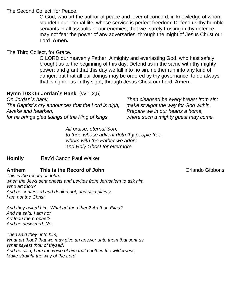# The Second Collect, for Peace.

O God, who art the author of peace and lover of concord, in knowledge of whom standeth our eternal life, whose service is perfect freedom: Defend us thy humble servants in all assaults of our enemies; that we, surely trusting in thy defence, may not fear the power of any adversaries; through the might of Jesus Christ our Lord. **Amen.**

# The Third Collect, for Grace.

O LORD our heavenly Father, Almighty and everlasting God, who hast safely brought us to the beginning of this day: Defend us in the same with thy mighty power; and grant that this day we fall into no sin, neither run into any kind of danger; but that all our doings may be ordered by thy governance, to do always that is righteous in thy sight; through Jesus Christ our Lord. **Amen.**

# **Hymn 103 On Jordan`s Bank** (vv 1,2,5)

*On Jordan`s bank, The Baptist`s cry announces that the Lord is nigh; Awake and hearken, for he brings glad tidings of the King of kings.*

*Then cleansed be every breast from sin; make straight the way for God within. Prepare we in our hearts a home, where such a mighty guest may come.*

*All praise, eternal Son, to thee whose advent doth thy people free, whom with the Father we adore and Holy Ghost for evermore.*

# **Homily** Rev'd Canon Paul Walker

# **Anthem This is the Record of John** Orlando Gibbons

*This is the record of John, when the Jews sent priests and Levites from Jerusalem to ask him, Who art thou? And he confessed and denied not, and said plainly, I am not the Christ.*

*And they asked him, What art thou then? Art thou Elias? And he said, I am not. Art thou the prophet? And he answered, No.*

*Then said they unto him, What art thou? that we may give an answer unto them that sent us. What sayest thou of thyself? And he said, I am the voice of him that crieth in the wilderness, Make straight the way of the Lord.*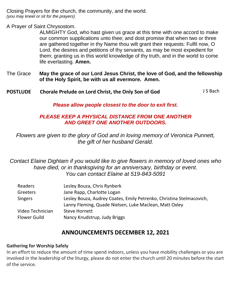Closing Prayers for the church, the community, and the world. *(you may kneel or sit for the prayers)*

A Prayer of Saint Chrysostom.

ALMIGHTY God, who hast given us grace at this time with one accord to make our common supplications unto thee; and dost promise that when two or three are gathered together in thy Name thou wilt grant their requests: Fulfil now, O Lord, the desires and petitions of thy servants, as may be most expedient for them; granting us in this world knowledge of thy truth, and in the world to come life everlasting. **Amen.**

The Grace **May the grace of our Lord Jesus Christ, the love of God, and the fellowship of the Holy Spirit, be with us all evermore. Amen.**

**POSTLUDE** Chorale Prelude on Lord Christ, the Only Son of God JS Bach

*Please allow people closest to the door to exit first.*

# *PLEASE KEEP A PHYSICAL DISTANCE FROM ONE ANOTHER AND GREET ONE ANOTHER OUTDOORS.*

*Flowers are given to the glory of God and in loving memory of Veronica Punnett, the gift of her husband Gerald.*

*Contact Elaine Dightam if you would like to give flowers in memory of loved ones who have died, or in thanksgiving for an anniversary, birthday or event. You can contact Elaine at 519-843-5091*

| Readers          | Lesley Bouza, Chris Rynberk                                                                                                    |
|------------------|--------------------------------------------------------------------------------------------------------------------------------|
| Greeters         | Jane Rapp, Charlotte Logan                                                                                                     |
| <b>Singers</b>   | Lesley Bouza, Audrey Coates, Emily Petrenko, Christina Stelmacovich,<br>Lanny Fleming, Quade Nielsen, Luke Maclean, Matt Oxley |
| Video Technician | Steve Hornett                                                                                                                  |
| Flower Guild     | Nancy Knudstrup, Judy Briggs                                                                                                   |

# **ANNOUNCEMENTS DECEMBER 12, 2021**

# **Gathering for Worship Safely**

In an effort to reduce the amount of time spend indoors, unless you have mobility challenges or you are involved in the leadership of the liturgy, please do not enter the church until 20 minutes before the start of the service.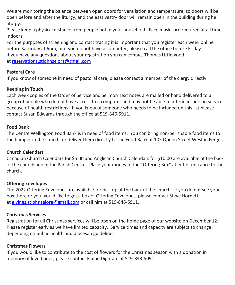We are monitoring the balance between open doors for ventilation and temperature, so doors will be open before and after the liturgy, and the east vestry door will remain open in the building during he liturgy.

Please keep a physical distance from people not in your household. Face masks are required at all time indoors.

For the purposes of screening and contact tracing it is important that you register each week online before Saturday at 6pm, or if you do not have a computer, please call the office before Friday. If you have any questions about your registration you can contact Thomas Littlewood at [reservations.stjohnselora@gmail.com](mailto:reservations.stjohnselora@gmail.com)

# **Pastoral Care**

If you know of someone in need of pastoral care, please contact a member of the clergy directly.

# **Keeping in Touch**

Each week copies of the Order of Service and Sermon Text notes are mailed or hand delivered to a group of people who do not have access to a computer and may not be able to attend in-person services because of health restrictions. If you know of someone who needs to be included on this list please contact Susan Edwards through the office at 519-846-5911.

# **Food Bank**

The Centre Wellington Food Bank is in need of food items. You can bring non-perishable food items to the hamper in the church, or deliver them directly to the Food Bank at 105 Queen Street West in Fergus.

#### **Church Calendars**

Canadian Church Calendars for \$5.00 and Anglican Church Calendars for \$10.00 are available at the back of the church and in the Parish Centre. Place your money in the "Offering Box" at either entrance to the church.

#### **Offering Envelopes**

The 2022 Offering Envelopes are available for pick up at the back of the church. If you do not see your box there or you would like to get a box of Offering Envelopes, please contact Steve Hornett at [givings.stjohnselora@gmail.com](mailto:givings.stjohnselora@gmail.com) or call him at 519-846-5911.

#### **Christmas Services**

Registration for all Christmas services will be open on the home page of our website on December 12. Please register early as we have limited capacity. Service times and capacity are subject to change depending on public health and diocesan guidelines.

# **Christmas Flowers**

If you would like to contribute to the cost of flowers for the Christmas season with a donation in memory of loved ones, please contact Elaine Dightam at 519-843-5091.